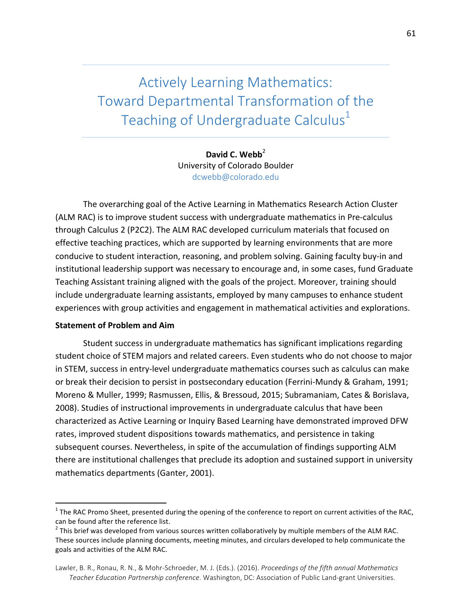Actively Learning Mathematics: Toward Departmental Transformation of the Teaching of Undergraduate Calculus<sup>1</sup>

> David C. Webb<sup>2</sup> University of Colorado Boulder dcwebb@colorado.edu

The overarching goal of the Active Learning in Mathematics Research Action Cluster (ALM RAC) is to improve student success with undergraduate mathematics in Pre-calculus through Calculus 2 (P2C2). The ALM RAC developed curriculum materials that focused on effective teaching practices, which are supported by learning environments that are more conducive to student interaction, reasoning, and problem solving. Gaining faculty buy-in and institutional leadership support was necessary to encourage and, in some cases, fund Graduate Teaching Assistant training aligned with the goals of the project. Moreover, training should include undergraduate learning assistants, employed by many campuses to enhance student experiences with group activities and engagement in mathematical activities and explorations.

#### **Statement of Problem and Aim**

Student success in undergraduate mathematics has significant implications regarding student choice of STEM majors and related careers. Even students who do not choose to major in STEM, success in entry-level undergraduate mathematics courses such as calculus can make or break their decision to persist in postsecondary education (Ferrini-Mundy & Graham, 1991; Moreno & Muller, 1999; Rasmussen, Ellis, & Bressoud, 2015; Subramaniam, Cates & Borislava, 2008). Studies of instructional improvements in undergraduate calculus that have been characterized as Active Learning or Inquiry Based Learning have demonstrated improved DFW rates, improved student dispositions towards mathematics, and persistence in taking subsequent courses. Nevertheless, in spite of the accumulation of findings supporting ALM there are institutional challenges that preclude its adoption and sustained support in university mathematics departments (Ganter, 2001).

 $1$  The RAC Promo Sheet, presented during the opening of the conference to report on current activities of the RAC, can be found after the reference list.<br>
<sup>2</sup> This brief was developed from various sources written collaboratively by multiple members of the ALM RAC.

These sources include planning documents, meeting minutes, and circulars developed to help communicate the goals and activities of the ALM RAC.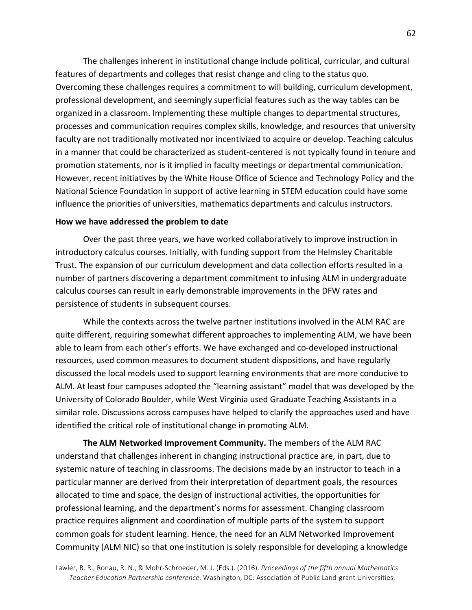The challenges inherent in institutional change include political, curricular, and cultural features of departments and colleges that resist change and cling to the status quo. Overcoming these challenges requires a commitment to will building, curriculum development, professional development, and seemingly superficial features such as the way tables can be organized in a classroom. Implementing these multiple changes to departmental structures, processes and communication requires complex skills, knowledge, and resources that university faculty are not traditionally motivated nor incentivized to acquire or develop. Teaching calculus in a manner that could be characterized as student-centered is not typically found in tenure and promotion statements, nor is it implied in faculty meetings or departmental communication. However, recent initiatives by the White House Office of Science and Technology Policy and the National Science Foundation in support of active learning in STEM education could have some influence the priorities of universities, mathematics departments and calculus instructors.

#### How we have addressed the problem to date

Over the past three years, we have worked collaboratively to improve instruction in introductory calculus courses. Initially, with funding support from the Helmsley Charitable Trust. The expansion of our curriculum development and data collection efforts resulted in a number of partners discovering a department commitment to infusing ALM in undergraduate calculus courses can result in early demonstrable improvements in the DFW rates and persistence of students in subsequent courses.

While the contexts across the twelve partner institutions involved in the ALM RAC are quite different, requiring somewhat different approaches to implementing ALM, we have been able to learn from each other's efforts. We have exchanged and co-developed instructional resources, used common measures to document student dispositions, and have regularly discussed the local models used to support learning environments that are more conducive to ALM. At least four campuses adopted the "learning assistant" model that was developed by the University of Colorado Boulder, while West Virginia used Graduate Teaching Assistants in a similar role. Discussions across campuses have helped to clarify the approaches used and have identified the critical role of institutional change in promoting ALM.

**The ALM Networked Improvement Community.** The members of the ALM RAC understand that challenges inherent in changing instructional practice are, in part, due to systemic nature of teaching in classrooms. The decisions made by an instructor to teach in a particular manner are derived from their interpretation of department goals, the resources allocated to time and space, the design of instructional activities, the opportunities for professional learning, and the department's norms for assessment. Changing classroom practice requires alignment and coordination of multiple parts of the system to support common goals for student learning. Hence, the need for an ALM Networked Improvement Community (ALM NIC) so that one institution is solely responsible for developing a knowledge

Lawler, B. R., Ronau, R. N., & Mohr-Schroeder, M. J. (Eds.). (2016). *Proceedings of the fifth annual Mathematics* Teacher Education Partnership conference. Washington, DC: Association of Public Land-grant Universities.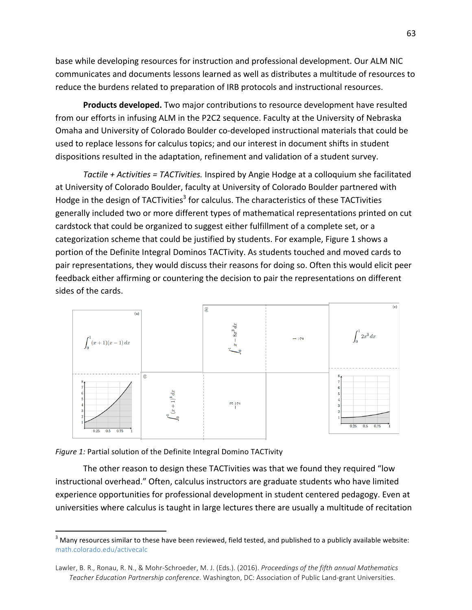base while developing resources for instruction and professional development. Our ALM NIC communicates and documents lessons learned as well as distributes a multitude of resources to reduce the burdens related to preparation of IRB protocols and instructional resources.

**Products developed.** Two major contributions to resource development have resulted from our efforts in infusing ALM in the P2C2 sequence. Faculty at the University of Nebraska Omaha and University of Colorado Boulder co-developed instructional materials that could be used to replace lessons for calculus topics; and our interest in document shifts in student dispositions resulted in the adaptation, refinement and validation of a student survey.

*Tactile* + Activities = TACTivities. Inspired by Angie Hodge at a colloquium she facilitated at University of Colorado Boulder, faculty at University of Colorado Boulder partnered with Hodge in the design of TACTivities<sup>3</sup> for calculus. The characteristics of these TACTivities generally included two or more different types of mathematical representations printed on cut cardstock that could be organized to suggest either fulfillment of a complete set, or a categorization scheme that could be justified by students. For example, Figure 1 shows a portion of the Definite Integral Dominos TACTivity. As students touched and moved cards to pair representations, they would discuss their reasons for doing so. Often this would elicit peer feedback either affirming or countering the decision to pair the representations on different sides of the cards.



Figure 1: Partial solution of the Definite Integral Domino TACTivity

The other reason to design these TACTivities was that we found they required "low instructional overhead." Often, calculus instructors are graduate students who have limited experience opportunities for professional development in student centered pedagogy. Even at universities where calculus is taught in large lectures there are usually a multitude of recitation

 $3$  Many resources similar to these have been reviewed, field tested, and published to a publicly available website: math.colorado.edu/activecalc

Lawler, B. R., Ronau, R. N., & Mohr-Schroeder, M. J. (Eds.). (2016). *Proceedings of the fifth annual Mathematics* Teacher Education Partnership conference. Washington, DC: Association of Public Land-grant Universities.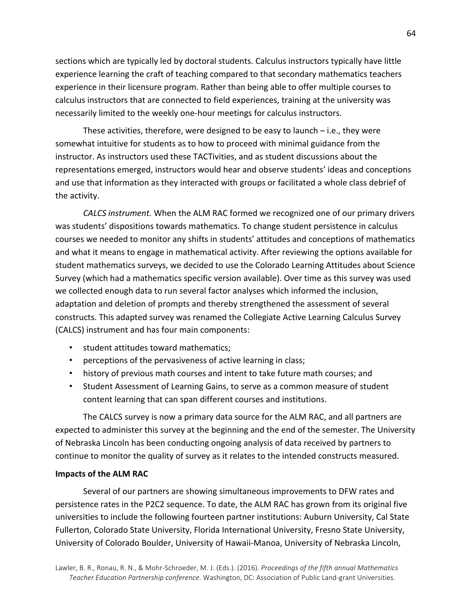sections which are typically led by doctoral students. Calculus instructors typically have little experience learning the craft of teaching compared to that secondary mathematics teachers experience in their licensure program. Rather than being able to offer multiple courses to calculus instructors that are connected to field experiences, training at the university was necessarily limited to the weekly one-hour meetings for calculus instructors.

These activities, therefore, were designed to be easy to launch  $-$  i.e., they were somewhat intuitive for students as to how to proceed with minimal guidance from the instructor. As instructors used these TACTivities, and as student discussions about the representations emerged, instructors would hear and observe students' ideas and conceptions and use that information as they interacted with groups or facilitated a whole class debrief of the activity.

*CALCS instrument.* When the ALM RAC formed we recognized one of our primary drivers was students' dispositions towards mathematics. To change student persistence in calculus courses we needed to monitor any shifts in students' attitudes and conceptions of mathematics and what it means to engage in mathematical activity. After reviewing the options available for student mathematics surveys, we decided to use the Colorado Learning Attitudes about Science Survey (which had a mathematics specific version available). Over time as this survey was used we collected enough data to run several factor analyses which informed the inclusion, adaptation and deletion of prompts and thereby strengthened the assessment of several constructs. This adapted survey was renamed the Collegiate Active Learning Calculus Survey (CALCS) instrument and has four main components:

- student attitudes toward mathematics;
- perceptions of the pervasiveness of active learning in class;
- history of previous math courses and intent to take future math courses; and
- Student Assessment of Learning Gains, to serve as a common measure of student content learning that can span different courses and institutions.

The CALCS survey is now a primary data source for the ALM RAC, and all partners are expected to administer this survey at the beginning and the end of the semester. The University of Nebraska Lincoln has been conducting ongoing analysis of data received by partners to continue to monitor the quality of survey as it relates to the intended constructs measured.

#### **Impacts of the ALM RAC**

Several of our partners are showing simultaneous improvements to DFW rates and persistence rates in the P2C2 sequence. To date, the ALM RAC has grown from its original five universities to include the following fourteen partner institutions: Auburn University, Cal State Fullerton, Colorado State University, Florida International University, Fresno State University, University of Colorado Boulder, University of Hawaii-Manoa, University of Nebraska Lincoln,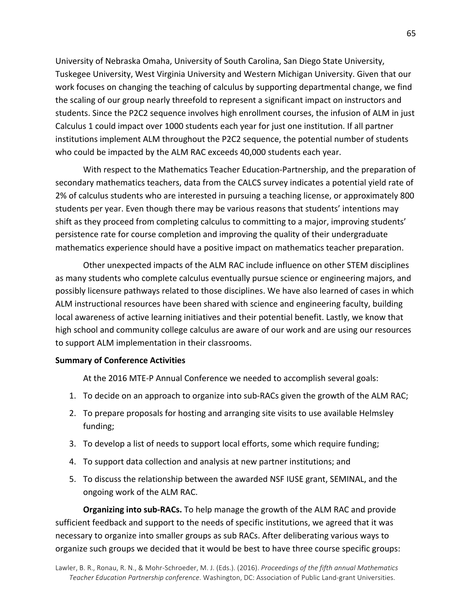University of Nebraska Omaha, University of South Carolina, San Diego State University, Tuskegee University, West Virginia University and Western Michigan University. Given that our work focuses on changing the teaching of calculus by supporting departmental change, we find the scaling of our group nearly threefold to represent a significant impact on instructors and students. Since the P2C2 sequence involves high enrollment courses, the infusion of ALM in just Calculus 1 could impact over 1000 students each year for just one institution. If all partner institutions implement ALM throughout the P2C2 sequence, the potential number of students who could be impacted by the ALM RAC exceeds 40,000 students each year.

With respect to the Mathematics Teacher Education-Partnership, and the preparation of secondary mathematics teachers, data from the CALCS survey indicates a potential yield rate of 2% of calculus students who are interested in pursuing a teaching license, or approximately 800 students per year. Even though there may be various reasons that students' intentions may shift as they proceed from completing calculus to committing to a major, improving students' persistence rate for course completion and improving the quality of their undergraduate mathematics experience should have a positive impact on mathematics teacher preparation.

Other unexpected impacts of the ALM RAC include influence on other STEM disciplines as many students who complete calculus eventually pursue science or engineering majors, and possibly licensure pathways related to those disciplines. We have also learned of cases in which ALM instructional resources have been shared with science and engineering faculty, building local awareness of active learning initiatives and their potential benefit. Lastly, we know that high school and community college calculus are aware of our work and are using our resources to support ALM implementation in their classrooms.

#### **Summary of Conference Activities**

At the 2016 MTE-P Annual Conference we needed to accomplish several goals:

- 1. To decide on an approach to organize into sub-RACs given the growth of the ALM RAC;
- 2. To prepare proposals for hosting and arranging site visits to use available Helmsley funding;
- 3. To develop a list of needs to support local efforts, some which require funding;
- 4. To support data collection and analysis at new partner institutions; and
- 5. To discuss the relationship between the awarded NSF IUSE grant, SEMINAL, and the ongoing work of the ALM RAC.

**Organizing into sub-RACs.** To help manage the growth of the ALM RAC and provide sufficient feedback and support to the needs of specific institutions, we agreed that it was necessary to organize into smaller groups as sub RACs. After deliberating various ways to organize such groups we decided that it would be best to have three course specific groups: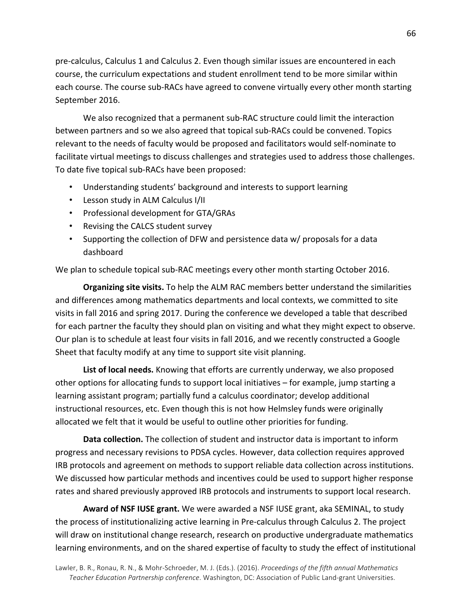pre-calculus, Calculus 1 and Calculus 2. Even though similar issues are encountered in each course, the curriculum expectations and student enrollment tend to be more similar within each course. The course sub-RACs have agreed to convene virtually every other month starting September 2016.

We also recognized that a permanent sub-RAC structure could limit the interaction between partners and so we also agreed that topical sub-RACs could be convened. Topics relevant to the needs of faculty would be proposed and facilitators would self-nominate to facilitate virtual meetings to discuss challenges and strategies used to address those challenges. To date five topical sub-RACs have been proposed:

- Understanding students' background and interests to support learning
- Lesson study in ALM Calculus I/II
- Professional development for GTA/GRAs
- Revising the CALCS student survey
- Supporting the collection of DFW and persistence data w/ proposals for a data dashboard

We plan to schedule topical sub-RAC meetings every other month starting October 2016.

**Organizing site visits.** To help the ALM RAC members better understand the similarities and differences among mathematics departments and local contexts, we committed to site visits in fall 2016 and spring 2017. During the conference we developed a table that described for each partner the faculty they should plan on visiting and what they might expect to observe. Our plan is to schedule at least four visits in fall 2016, and we recently constructed a Google Sheet that faculty modify at any time to support site visit planning.

**List of local needs.** Knowing that efforts are currently underway, we also proposed other options for allocating funds to support local initiatives - for example, jump starting a learning assistant program; partially fund a calculus coordinator; develop additional instructional resources, etc. Even though this is not how Helmsley funds were originally allocated we felt that it would be useful to outline other priorities for funding.

**Data collection.** The collection of student and instructor data is important to inform progress and necessary revisions to PDSA cycles. However, data collection requires approved IRB protocols and agreement on methods to support reliable data collection across institutions. We discussed how particular methods and incentives could be used to support higher response rates and shared previously approved IRB protocols and instruments to support local research.

**Award of NSF IUSE grant.** We were awarded a NSF IUSE grant, aka SEMINAL, to study the process of institutionalizing active learning in Pre-calculus through Calculus 2. The project will draw on institutional change research, research on productive undergraduate mathematics learning environments, and on the shared expertise of faculty to study the effect of institutional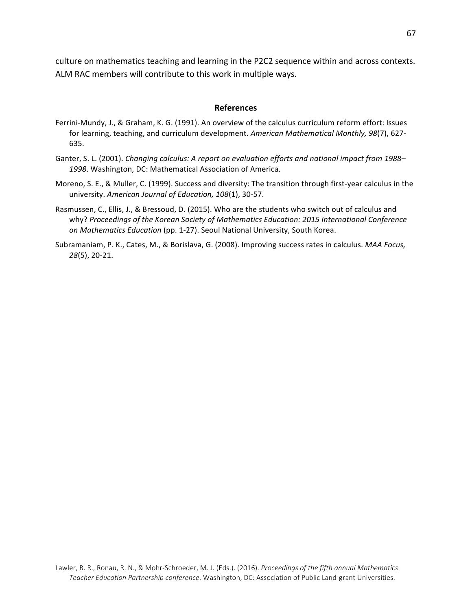culture on mathematics teaching and learning in the P2C2 sequence within and across contexts. ALM RAC members will contribute to this work in multiple ways.

#### **References**

- Ferrini-Mundy, J., & Graham, K. G. (1991). An overview of the calculus curriculum reform effort: Issues for learning, teaching, and curriculum development. American Mathematical Monthly, 98(7), 627-635.
- Ganter, S. L. (2001). *Changing calculus: A report on evaluation efforts and national impact from 1988*-1998. Washington, DC: Mathematical Association of America.
- Moreno, S. E., & Muller, C. (1999). Success and diversity: The transition through first-year calculus in the university. American Journal of Education, 108(1), 30-57.
- Rasmussen, C., Ellis, J., & Bressoud, D. (2015). Who are the students who switch out of calculus and why? Proceedings of the Korean Society of Mathematics Education: 2015 International Conference *on Mathematics Education* (pp. 1-27). Seoul National University, South Korea.
- Subramaniam, P. K., Cates, M., & Borislava, G. (2008). Improving success rates in calculus. *MAA Focus, 28*(5), 20-21.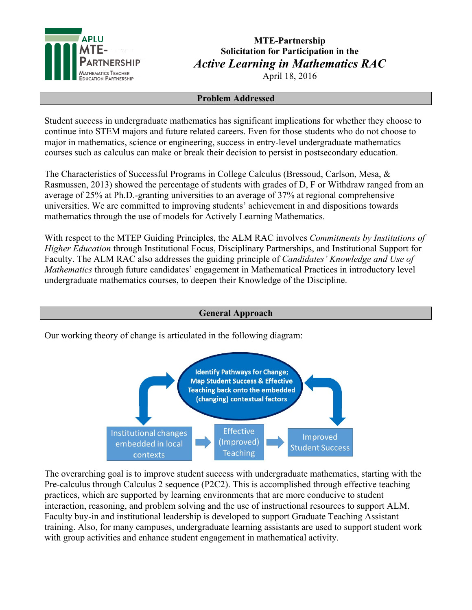

# **MTE-Partnership Solicitation for Participation in the** *Active Learning in Mathematics RAC*

April 18, 2016

## **Problem Addressed**

Student success in undergraduate mathematics has significant implications for whether they choose to continue into STEM majors and future related careers. Even for those students who do not choose to major in mathematics, science or engineering, success in entry-level undergraduate mathematics courses such as calculus can make or break their decision to persist in postsecondary education.

The Characteristics of Successful Programs in College Calculus (Bressoud, Carlson, Mesa, & Rasmussen, 2013) showed the percentage of students with grades of D, F or Withdraw ranged from an average of 25% at Ph.D.-granting universities to an average of 37% at regional comprehensive universities. We are committed to improving students' achievement in and dispositions towards mathematics through the use of models for Actively Learning Mathematics.

With respect to the MTEP Guiding Principles, the ALM RAC involves *Commitments by Institutions of Higher Education* through Institutional Focus, Disciplinary Partnerships, and Institutional Support for Faculty. The ALM RAC also addresses the guiding principle of *Candidates' Knowledge and Use of Mathematics* through future candidates' engagement in Mathematical Practices in introductory level undergraduate mathematics courses, to deepen their Knowledge of the Discipline.

## **General Approach**



Our working theory of change is articulated in the following diagram:

**Institutional changes** 

embedded in local

contexts

The overarching goal is to improve student success with undergraduate mathematics, starting with the Pre-calculus through Calculus 2 sequence (P2C2). This is accomplished through effective teaching practices, which are supported by learning environments that are more conducive to student interaction, reasoning, and problem solving and the use of instructional resources to support ALM. Faculty buy-in and institutional leadership is developed to support Graduate Teaching Assistant training. Also, for many campuses, undergraduate learning assistants are used to support student work with group activities and enhance student engagement in mathematical activity.

**Effective** 

(Improved)

**Teaching** 

Improved

**Student Success**